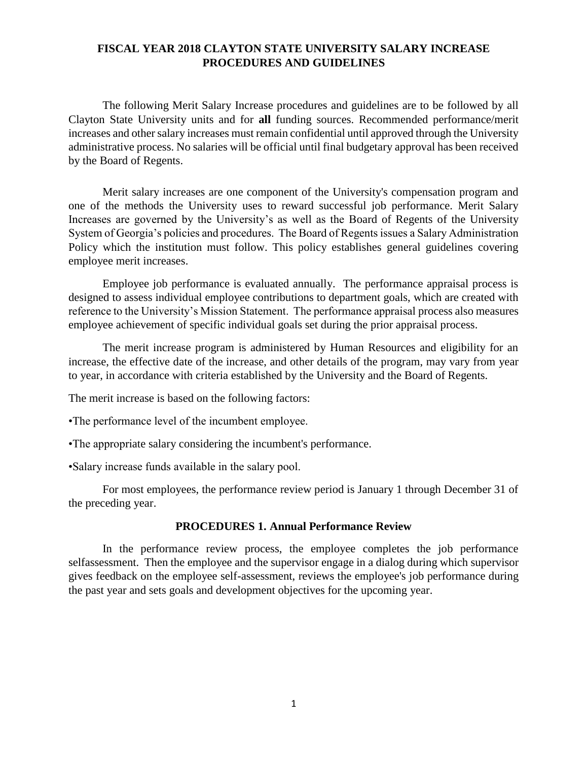# **FISCAL YEAR 2018 CLAYTON STATE UNIVERSITY SALARY INCREASE PROCEDURES AND GUIDELINES**

The following Merit Salary Increase procedures and guidelines are to be followed by all Clayton State University units and for **all** funding sources. Recommended performance/merit increases and other salary increases must remain confidential until approved through the University administrative process. No salaries will be official until final budgetary approval has been received by the Board of Regents.

Merit salary increases are one component of the University's compensation program and one of the methods the University uses to reward successful job performance. Merit Salary Increases are governed by the University's as well as the Board of Regents of the University System of Georgia's policies and procedures. The Board of Regents issues a Salary Administration Policy which the institution must follow. This policy establishes general guidelines covering employee merit increases.

Employee job performance is evaluated annually. The performance appraisal process is designed to assess individual employee contributions to department goals, which are created with reference to the University's Mission Statement. The performance appraisal process also measures employee achievement of specific individual goals set during the prior appraisal process.

The merit increase program is administered by Human Resources and eligibility for an increase, the effective date of the increase, and other details of the program, may vary from year to year, in accordance with criteria established by the University and the Board of Regents.

The merit increase is based on the following factors:

•The performance level of the incumbent employee.

•The appropriate salary considering the incumbent's performance.

•Salary increase funds available in the salary pool.

For most employees, the performance review period is January 1 through December 31 of the preceding year.

#### **PROCEDURES 1. Annual Performance Review**

In the performance review process, the employee completes the job performance selfassessment. Then the employee and the supervisor engage in a dialog during which supervisor gives feedback on the employee self-assessment, reviews the employee's job performance during the past year and sets goals and development objectives for the upcoming year.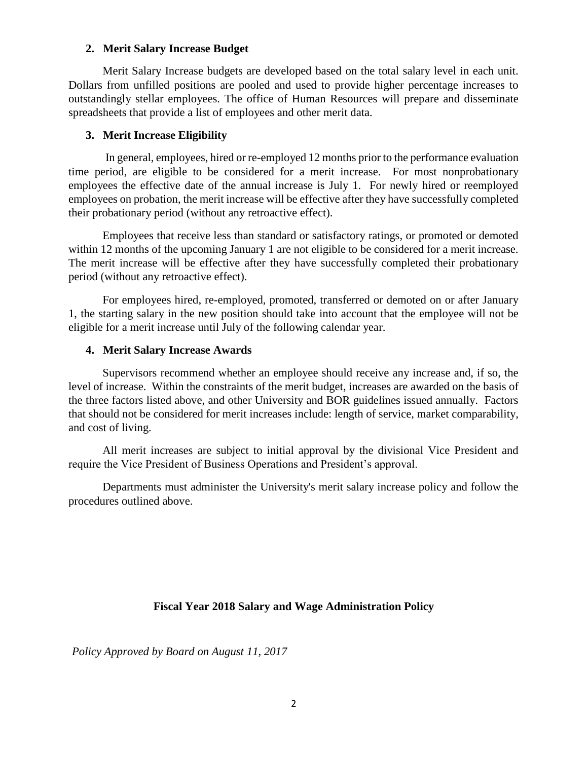### **2. Merit Salary Increase Budget**

Merit Salary Increase budgets are developed based on the total salary level in each unit. Dollars from unfilled positions are pooled and used to provide higher percentage increases to outstandingly stellar employees. The office of Human Resources will prepare and disseminate spreadsheets that provide a list of employees and other merit data.

## **3. Merit Increase Eligibility**

In general, employees, hired or re-employed 12 months prior to the performance evaluation time period, are eligible to be considered for a merit increase. For most nonprobationary employees the effective date of the annual increase is July 1. For newly hired or reemployed employees on probation, the merit increase will be effective after they have successfully completed their probationary period (without any retroactive effect).

Employees that receive less than standard or satisfactory ratings, or promoted or demoted within 12 months of the upcoming January 1 are not eligible to be considered for a merit increase. The merit increase will be effective after they have successfully completed their probationary period (without any retroactive effect).

For employees hired, re-employed, promoted, transferred or demoted on or after January 1, the starting salary in the new position should take into account that the employee will not be eligible for a merit increase until July of the following calendar year.

### **4. Merit Salary Increase Awards**

Supervisors recommend whether an employee should receive any increase and, if so, the level of increase. Within the constraints of the merit budget, increases are awarded on the basis of the three factors listed above, and other University and BOR guidelines issued annually. Factors that should not be considered for merit increases include: length of service, market comparability, and cost of living.

All merit increases are subject to initial approval by the divisional Vice President and require the Vice President of Business Operations and President's approval.

Departments must administer the University's merit salary increase policy and follow the procedures outlined above.

# **Fiscal Year 2018 Salary and Wage Administration Policy**

*Policy Approved by Board on August 11, 2017*